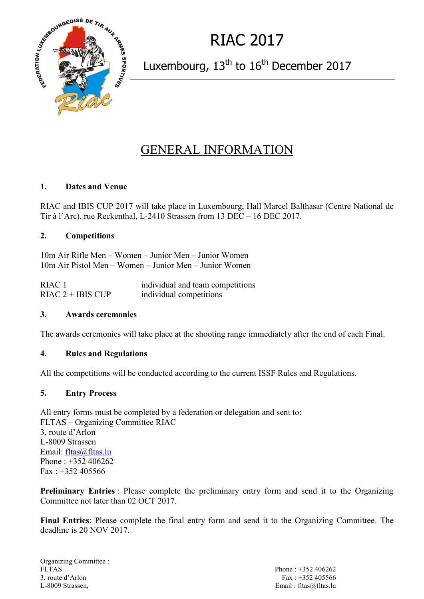

RIAC 2017

Luxembourg, 13<sup>th</sup> to 16<sup>th</sup> December 2017

# GENERAL INFORMATION

## **1. Dates and Venue**

RIAC and IBIS CUP 2017 will take place in Luxembourg, Hall Marcel Balthasar (Centre National de Tir à l'Arc), rue Reckenthal, L-2410 Strassen from 13 DEC – 16 DEC 2017.

## **2. Competitions**

10m Air Rifle Men – Women – Junior Men – Junior Women 10m Air Pistol Men – Women – Junior Men – Junior Women

RIAC 1 individual and team competitions RIAC  $2 + I \text{BIS } C \text{UP}$  individual competitions

## **3. Awards ceremonies**

The awards ceremonies will take place at the shooting range immediately after the end of each Final.

## **4. Rules and Regulations**

All the competitions will be conducted according to the current ISSF Rules and Regulations.

## **5. Entry Process**

All entry forms must be completed by a federation or delegation and sent to: FLTAS – Organizing Committee RIAC 3, route d'Arlon L-8009 Strassen Email: [fltas@fltas.lu](mailto:fltas@fltas.lu) Phone : +352 406262  $Fax: +352405566$ 

**Preliminary Entries** : Please complete the preliminary entry form and send it to the Organizing Committee not later than 02 OCT 2017.

**Final Entries**: Please complete the final entry form and send it to the Organizing Committee. The deadline is 20 NOV 2017.

Organizing Committee : FLTAS Phone : +352 406262 3, route d'Arlon Fax : +352 405566 L-8009 Strassen, Email : fltas@fltas.lu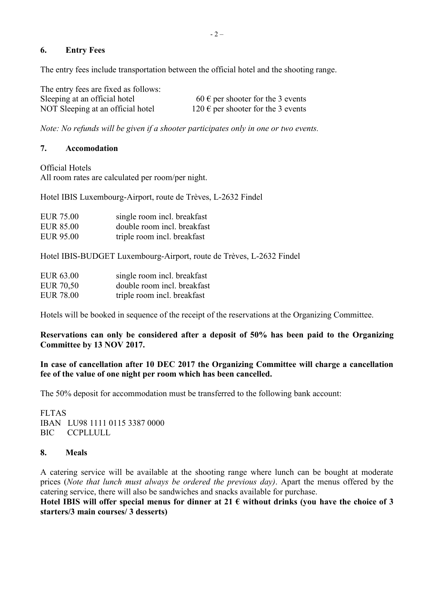## **6. Entry Fees**

The entry fees include transportation between the official hotel and the shooting range.

| The entry fees are fixed as follows: |                                                     |
|--------------------------------------|-----------------------------------------------------|
| Sleeping at an official hotel        | $60 \text{ }\epsilon$ per shooter for the 3 events  |
| NOT Sleeping at an official hotel    | $120 \text{ }\epsilon$ per shooter for the 3 events |

*Note: No refunds will be given if a shooter participates only in one or two events.*

## **7. Accomodation**

Official Hotels All room rates are calculated per room/per night.

Hotel IBIS Luxembourg-Airport, route de Trèves, L-2632 Findel

| <b>EUR 75.00</b> | single room incl. breakfast |
|------------------|-----------------------------|
| <b>EUR 85.00</b> | double room incl. breakfast |
| <b>EUR 95.00</b> | triple room incl. breakfast |

Hotel IBIS-BUDGET Luxembourg-Airport, route de Trèves, L-2632 Findel

| <b>EUR 63.00</b> | single room incl. breakfast |
|------------------|-----------------------------|
| <b>EUR 70,50</b> | double room incl. breakfast |
| <b>EUR 78.00</b> | triple room incl. breakfast |

Hotels will be booked in sequence of the receipt of the reservations at the Organizing Committee.

**Reservations can only be considered after a deposit of 50% has been paid to the Organizing Committee by 13 NOV 2017.**

## **In case of cancellation after 10 DEC 2017 the Organizing Committee will charge a cancellation fee of the value of one night per room which has been cancelled.**

The 50% deposit for accommodation must be transferred to the following bank account:

FLTAS IBAN LU98 1111 0115 3387 0000 BIC CCPLLULL

## **8. Meals**

A catering service will be available at the shooting range where lunch can be bought at moderate prices (*Note that lunch must always be ordered the previous day)*. Apart the menus offered by the catering service, there will also be sandwiches and snacks available for purchase.

Hotel IBIS will offer special menus for dinner at  $21 \text{ } \in$  without drinks (you have the choice of 3 **starters/3 main courses/ 3 desserts)**